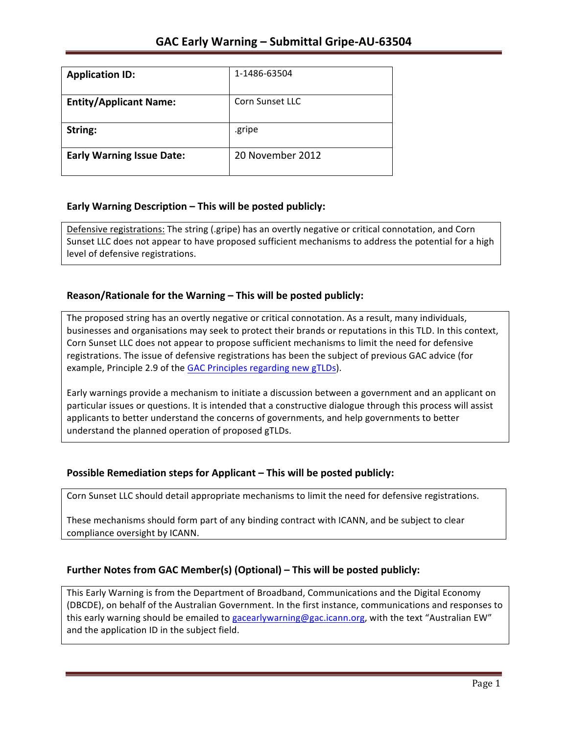| <b>Application ID:</b>           | 1-1486-63504     |
|----------------------------------|------------------|
| <b>Entity/Applicant Name:</b>    | Corn Sunset LLC  |
| String:                          | .gripe           |
| <b>Early Warning Issue Date:</b> | 20 November 2012 |

### **Early Warning Description – This will be posted publicly:**

Defensive registrations: The string (.gripe) has an overtly negative or critical connotation, and Corn Sunset LLC does not appear to have proposed sufficient mechanisms to address the potential for a high level of defensive registrations.

### **Reason/Rationale for the Warning – This will be posted publicly:**

The proposed string has an overtly negative or critical connotation. As a result, many individuals, businesses and organisations may seek to protect their brands or reputations in this TLD. In this context, Corn Sunset LLC does not appear to propose sufficient mechanisms to limit the need for defensive registrations. The issue of defensive registrations has been the subject of previous GAC advice (for example, Principle 2.9 of the GAC Principles regarding new gTLDs).

Early warnings provide a mechanism to initiate a discussion between a government and an applicant on particular issues or questions. It is intended that a constructive dialogue through this process will assist applicants to better understand the concerns of governments, and help governments to better understand the planned operation of proposed gTLDs.

## **Possible Remediation steps for Applicant – This will be posted publicly:**

Corn Sunset LLC should detail appropriate mechanisms to limit the need for defensive registrations.

These mechanisms should form part of any binding contract with ICANN, and be subject to clear compliance oversight by ICANN.

## **Further Notes from GAC Member(s) (Optional) – This will be posted publicly:**

This Early Warning is from the Department of Broadband, Communications and the Digital Economy (DBCDE), on behalf of the Australian Government. In the first instance, communications and responses to this early warning should be emailed to gacearlywarning@gac.icann.org, with the text "Australian EW" and the application ID in the subject field.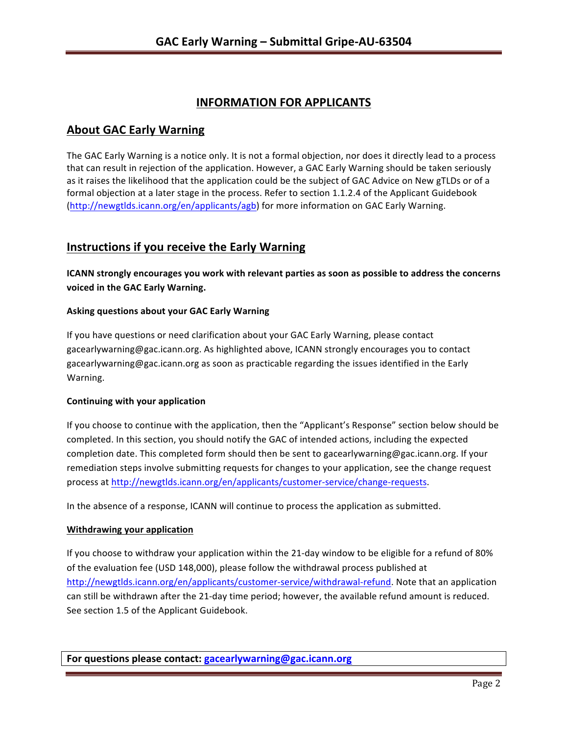# **INFORMATION FOR APPLICANTS**

## **About GAC Early Warning**

The GAC Early Warning is a notice only. It is not a formal objection, nor does it directly lead to a process that can result in rejection of the application. However, a GAC Early Warning should be taken seriously as it raises the likelihood that the application could be the subject of GAC Advice on New gTLDs or of a formal objection at a later stage in the process. Refer to section 1.1.2.4 of the Applicant Guidebook (http://newgtlds.icann.org/en/applicants/agb) for more information on GAC Early Warning.

# **Instructions if you receive the Early Warning**

**ICANN** strongly encourages you work with relevant parties as soon as possible to address the concerns **voiced in the GAC Early Warning.** 

#### **Asking questions about your GAC Early Warning**

If you have questions or need clarification about your GAC Early Warning, please contact gacearlywarning@gac.icann.org. As highlighted above, ICANN strongly encourages you to contact gacearlywarning@gac.icann.org as soon as practicable regarding the issues identified in the Early Warning. 

#### **Continuing with your application**

If you choose to continue with the application, then the "Applicant's Response" section below should be completed. In this section, you should notify the GAC of intended actions, including the expected completion date. This completed form should then be sent to gacearlywarning@gac.icann.org. If your remediation steps involve submitting requests for changes to your application, see the change request process at http://newgtlds.icann.org/en/applicants/customer-service/change-requests.

In the absence of a response, ICANN will continue to process the application as submitted.

#### **Withdrawing your application**

If you choose to withdraw your application within the 21-day window to be eligible for a refund of 80% of the evaluation fee (USD 148,000), please follow the withdrawal process published at http://newgtlds.icann.org/en/applicants/customer-service/withdrawal-refund. Note that an application can still be withdrawn after the 21-day time period; however, the available refund amount is reduced. See section 1.5 of the Applicant Guidebook.

**For questions please contact: gacearlywarning@gac.icann.org**